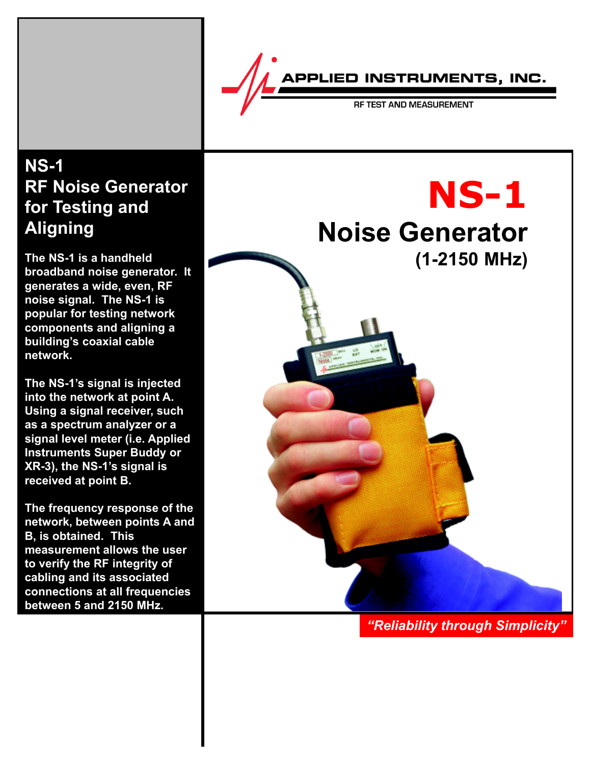

RF TEST AND MEASUREMENT

# **NS-1 RF Noise Generator for Testing and Aligning**

**The NS-1 is a handheld broadband noise generator. It generates a wide, even, RF noise signal. The NS-1 is popular for testing network components and aligning a building's coaxial cable network.**

**The NS-1's signal is injected into the network at point A. Using a signal receiver, such as a spectrum analyzer or a signal level meter (i.e. Applied Instruments Super Buddy or XR-3), the NS-1's signal is received at point B.**

**The frequency response of the network, between points A and B, is obtained. This measurement allows the user to verify the RF integrity of cabling and its associated connections at all frequencies between 5 and 2150 MHz.**



*"Reliability through Simplicity"*